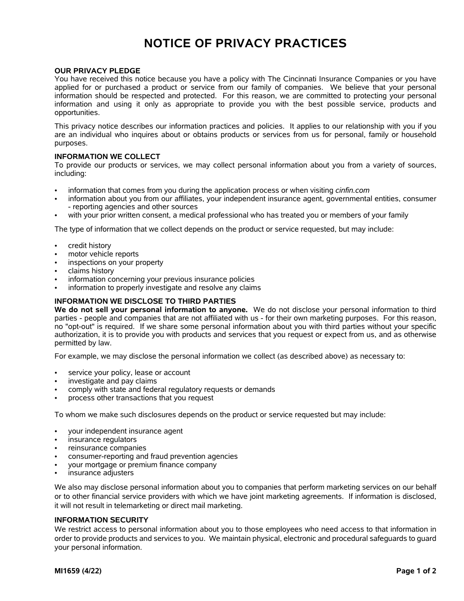# **NOTICE OF PRIVACY PRACTICES**

## **OUR PRIVACY PLEDGE**

You have received this notice because you have a policy with The Cincinnati Insurance Companies or you have applied for or purchased a product or service from our family of companies. We believe that your personal information should be respected and protected. For this reason, we are committed to protecting your personal information and using it only as appropriate to provide you with the best possible service, products and opportunities.

This privacy notice describes our information practices and policies. It applies to our relationship with you if you are an individual who inquires about or obtains products or services from us for personal, family or household purposes.

### **INFORMATION WE COLLECT**

To provide our products or services, we may collect personal information about you from a variety of sources, including:

- information that comes from you during the application process or when visiting *cinfin.com*
- information about you from our affiliates, your independent insurance agent, governmental entities, consumer - reporting agencies and other sources
- with your prior written consent, a medical professional who has treated you or members of your family

The type of information that we collect depends on the product or service requested, but may include:

- credit history
- motor vehicle reports
- inspections on your property
- claims history
- information concerning your previous insurance policies
- information to properly investigate and resolve any claims

## **INFORMATION WE DISCLOSE TO THIRD PARTIES**

**We do not sell your personal information to anyone.** We do not disclose your personal information to third parties - people and companies that are not affiliated with us - for their own marketing purposes. For this reason, no "opt-out" is required. If we share some personal information about you with third parties without your specific authorization, it is to provide you with products and services that you request or expect from us, and as otherwise permitted by law.

For example, we may disclose the personal information we collect (as described above) as necessary to:

- service your policy, lease or account
- investigate and pay claims
- comply with state and federal regulatory requests or demands
- process other transactions that you request

To whom we make such disclosures depends on the product or service requested but may include:

- your independent insurance agent
- insurance regulators
- reinsurance companies
- consumer-reporting and fraud prevention agencies
- your mortgage or premium finance company
- insurance adjusters

We also may disclose personal information about you to companies that perform marketing services on our behalf or to other financial service providers with which we have joint marketing agreements. If information is disclosed, it will not result in telemarketing or direct mail marketing.

#### **INFORMATION SECURITY**

We restrict access to personal information about you to those employees who need access to that information in order to provide products and services to you. We maintain physical, electronic and procedural safeguards to guard your personal information.